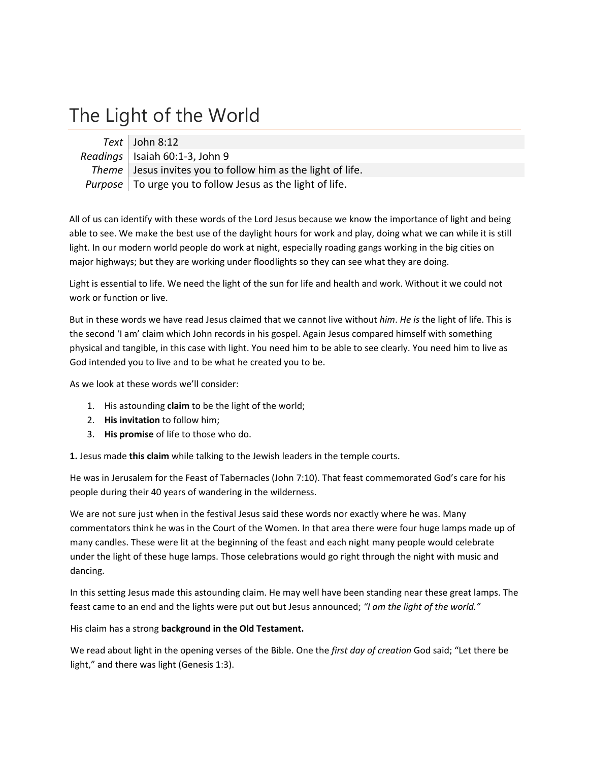## The Light of the World

*Text* John 8:12 *Readings* Isaiah 60:1‐3, John 9 *Theme* Jesus invites you to follow him as the light of life. *Purpose* To urge you to follow Jesus as the light of life.

All of us can identify with these words of the Lord Jesus because we know the importance of light and being able to see. We make the best use of the daylight hours for work and play, doing what we can while it is still light. In our modern world people do work at night, especially roading gangs working in the big cities on major highways; but they are working under floodlights so they can see what they are doing.

Light is essential to life. We need the light of the sun for life and health and work. Without it we could not work or function or live.

But in these words we have read Jesus claimed that we cannot live without *him*. *He is* the light of life. This is the second 'I am' claim which John records in his gospel. Again Jesus compared himself with something physical and tangible, in this case with light. You need him to be able to see clearly. You need him to live as God intended you to live and to be what he created you to be.

As we look at these words we'll consider:

- 1. His astounding **claim** to be the light of the world;
- 2. **His invitation** to follow him;
- 3. **His promise** of life to those who do.

**1.** Jesus made **this claim** while talking to the Jewish leaders in the temple courts.

He was in Jerusalem for the Feast of Tabernacles (John 7:10). That feast commemorated God's care for his people during their 40 years of wandering in the wilderness.

We are not sure just when in the festival Jesus said these words nor exactly where he was. Many commentators think he was in the Court of the Women. In that area there were four huge lamps made up of many candles. These were lit at the beginning of the feast and each night many people would celebrate under the light of these huge lamps. Those celebrations would go right through the night with music and dancing.

In this setting Jesus made this astounding claim. He may well have been standing near these great lamps. The feast came to an end and the lights were put out but Jesus announced; *"I am the light of the world."*

His claim has a strong **background in the Old Testament.**

We read about light in the opening verses of the Bible. One the *first day of creation* God said; "Let there be light," and there was light (Genesis 1:3).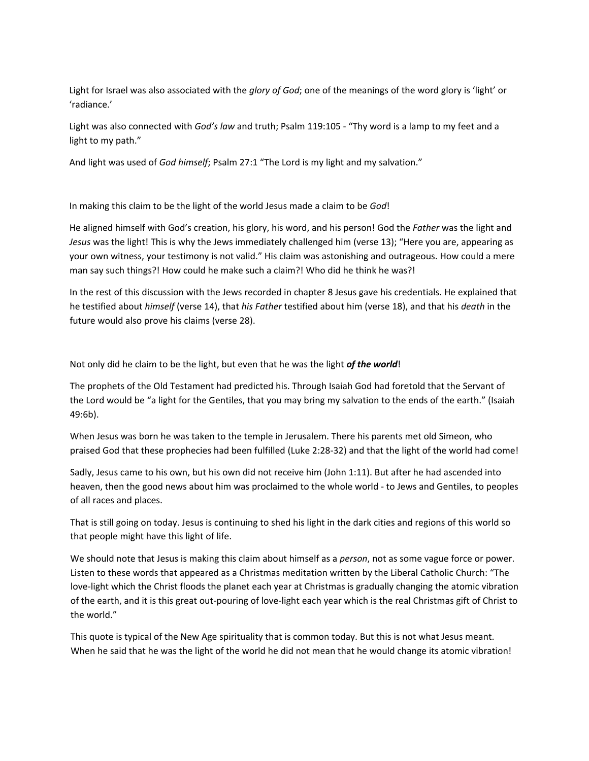Light for Israel was also associated with the *glory of God*; one of the meanings of the word glory is 'light' or 'radiance.'

Light was also connected with *God's law* and truth; Psalm 119:105 ‐ "Thy word is a lamp to my feet and a light to my path."

And light was used of *God himself*; Psalm 27:1 "The Lord is my light and my salvation."

In making this claim to be the light of the world Jesus made a claim to be *God*!

He aligned himself with God's creation, his glory, his word, and his person! God the *Father* was the light and *Jesus* was the light! This is why the Jews immediately challenged him (verse 13); "Here you are, appearing as your own witness, your testimony is not valid." His claim was astonishing and outrageous. How could a mere man say such things?! How could he make such a claim?! Who did he think he was?!

In the rest of this discussion with the Jews recorded in chapter 8 Jesus gave his credentials. He explained that he testified about *himself* (verse 14), that *his Father* testified about him (verse 18), and that his *death* in the future would also prove his claims (verse 28).

Not only did he claim to be the light, but even that he was the light *of the world*!

The prophets of the Old Testament had predicted his. Through Isaiah God had foretold that the Servant of the Lord would be "a light for the Gentiles, that you may bring my salvation to the ends of the earth." (Isaiah 49:6b).

When Jesus was born he was taken to the temple in Jerusalem. There his parents met old Simeon, who praised God that these prophecies had been fulfilled (Luke 2:28‐32) and that the light of the world had come!

Sadly, Jesus came to his own, but his own did not receive him (John 1:11). But after he had ascended into heaven, then the good news about him was proclaimed to the whole world - to Jews and Gentiles, to peoples of all races and places.

That is still going on today. Jesus is continuing to shed his light in the dark cities and regions of this world so that people might have this light of life.

We should note that Jesus is making this claim about himself as a *person*, not as some vague force or power. Listen to these words that appeared as a Christmas meditation written by the Liberal Catholic Church: "The love‐light which the Christ floods the planet each year at Christmas is gradually changing the atomic vibration of the earth, and it is this great out‐pouring of love‐light each year which is the real Christmas gift of Christ to the world."

This quote is typical of the New Age spirituality that is common today. But this is not what Jesus meant. When he said that he was the light of the world he did not mean that he would change its atomic vibration!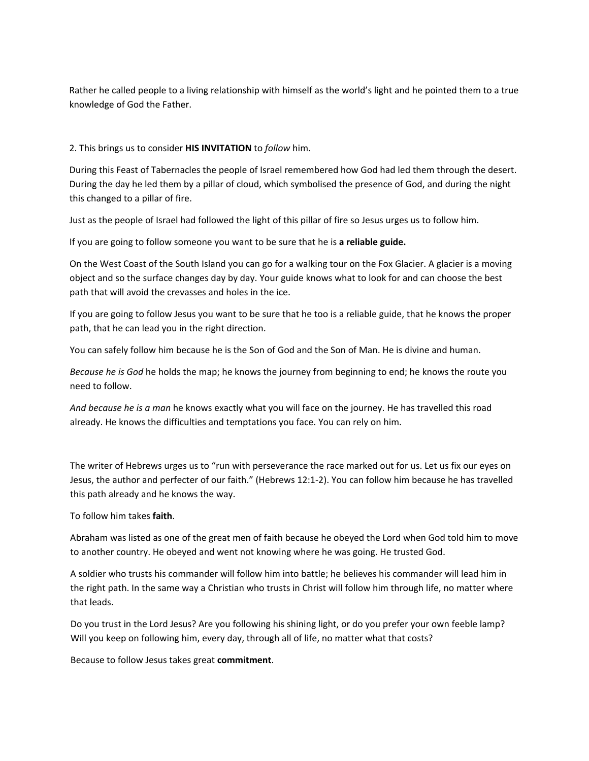Rather he called people to a living relationship with himself as the world's light and he pointed them to a true knowledge of God the Father.

## 2. This brings us to consider **HIS INVITATION** to *follow* him.

During this Feast of Tabernacles the people of Israel remembered how God had led them through the desert. During the day he led them by a pillar of cloud, which symbolised the presence of God, and during the night this changed to a pillar of fire.

Just as the people of Israel had followed the light of this pillar of fire so Jesus urges us to follow him.

If you are going to follow someone you want to be sure that he is **a reliable guide.**

On the West Coast of the South Island you can go for a walking tour on the Fox Glacier. A glacier is a moving object and so the surface changes day by day. Your guide knows what to look for and can choose the best path that will avoid the crevasses and holes in the ice.

If you are going to follow Jesus you want to be sure that he too is a reliable guide, that he knows the proper path, that he can lead you in the right direction.

You can safely follow him because he is the Son of God and the Son of Man. He is divine and human.

*Because he is God* he holds the map; he knows the journey from beginning to end; he knows the route you need to follow.

*And because he is a man* he knows exactly what you will face on the journey. He has travelled this road already. He knows the difficulties and temptations you face. You can rely on him.

The writer of Hebrews urges us to "run with perseverance the race marked out for us. Let us fix our eyes on Jesus, the author and perfecter of our faith." (Hebrews 12:1‐2). You can follow him because he has travelled this path already and he knows the way.

To follow him takes **faith**.

Abraham was listed as one of the great men of faith because he obeyed the Lord when God told him to move to another country. He obeyed and went not knowing where he was going. He trusted God.

A soldier who trusts his commander will follow him into battle; he believes his commander will lead him in the right path. In the same way a Christian who trusts in Christ will follow him through life, no matter where that leads.

Do you trust in the Lord Jesus? Are you following his shining light, or do you prefer your own feeble lamp? Will you keep on following him, every day, through all of life, no matter what that costs?

Because to follow Jesus takes great **commitment**.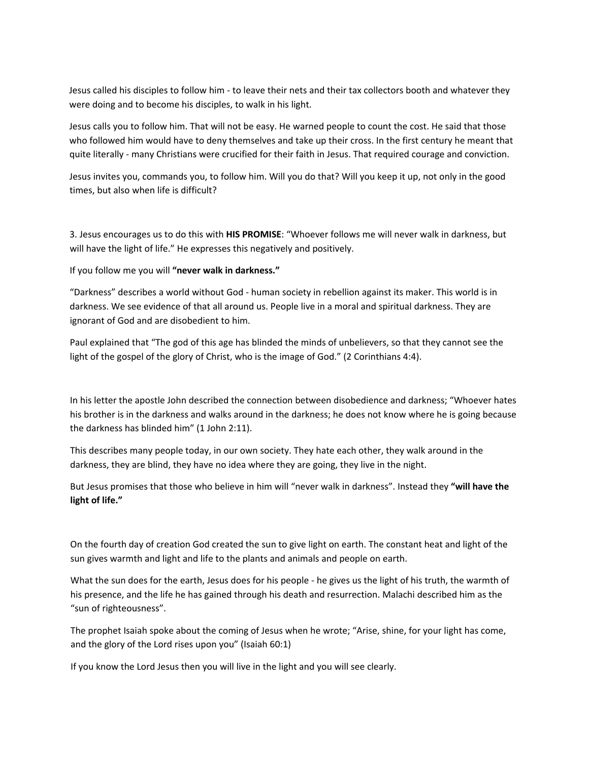Jesus called his disciples to follow him ‐ to leave their nets and their tax collectors booth and whatever they were doing and to become his disciples, to walk in his light.

Jesus calls you to follow him. That will not be easy. He warned people to count the cost. He said that those who followed him would have to deny themselves and take up their cross. In the first century he meant that quite literally ‐ many Christians were crucified for their faith in Jesus. That required courage and conviction.

Jesus invites you, commands you, to follow him. Will you do that? Will you keep it up, not only in the good times, but also when life is difficult?

3. Jesus encourages us to do this with **HIS PROMISE**: "Whoever follows me will never walk in darkness, but will have the light of life." He expresses this negatively and positively.

If you follow me you will **"never walk in darkness."**

"Darkness" describes a world without God ‐ human society in rebellion against its maker. This world is in darkness. We see evidence of that all around us. People live in a moral and spiritual darkness. They are ignorant of God and are disobedient to him.

Paul explained that "The god of this age has blinded the minds of unbelievers, so that they cannot see the light of the gospel of the glory of Christ, who is the image of God." (2 Corinthians 4:4).

In his letter the apostle John described the connection between disobedience and darkness; "Whoever hates his brother is in the darkness and walks around in the darkness; he does not know where he is going because the darkness has blinded him" (1 John 2:11).

This describes many people today, in our own society. They hate each other, they walk around in the darkness, they are blind, they have no idea where they are going, they live in the night.

But Jesus promises that those who believe in him will "never walk in darkness". Instead they **"will have the light of life."**

On the fourth day of creation God created the sun to give light on earth. The constant heat and light of the sun gives warmth and light and life to the plants and animals and people on earth.

What the sun does for the earth, Jesus does for his people - he gives us the light of his truth, the warmth of his presence, and the life he has gained through his death and resurrection. Malachi described him as the "sun of righteousness".

The prophet Isaiah spoke about the coming of Jesus when he wrote; "Arise, shine, for your light has come, and the glory of the Lord rises upon you" (Isaiah 60:1)

If you know the Lord Jesus then you will live in the light and you will see clearly.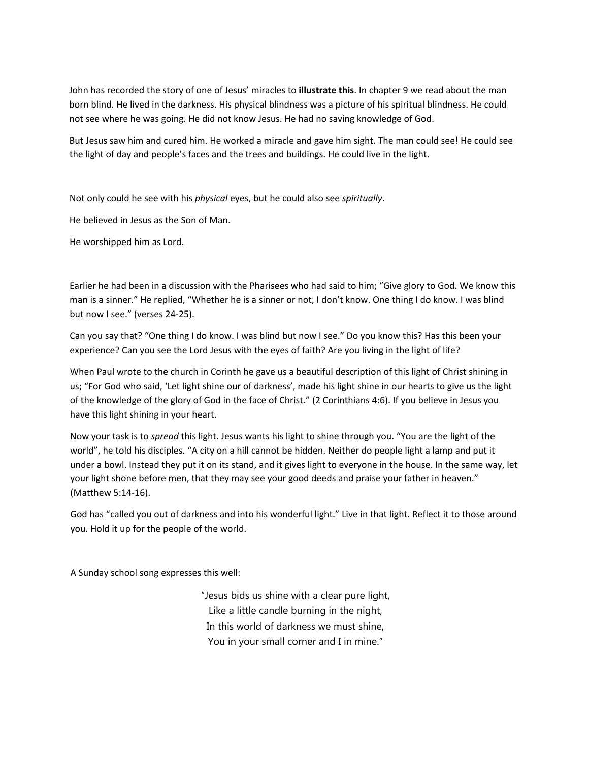John has recorded the story of one of Jesus' miracles to **illustrate this**. In chapter 9 we read about the man born blind. He lived in the darkness. His physical blindness was a picture of his spiritual blindness. He could not see where he was going. He did not know Jesus. He had no saving knowledge of God.

But Jesus saw him and cured him. He worked a miracle and gave him sight. The man could see! He could see the light of day and people's faces and the trees and buildings. He could live in the light.

Not only could he see with his *physical* eyes, but he could also see *spiritually*.

He believed in Jesus as the Son of Man.

He worshipped him as Lord.

Earlier he had been in a discussion with the Pharisees who had said to him; "Give glory to God. We know this man is a sinner." He replied, "Whether he is a sinner or not, I don't know. One thing I do know. I was blind but now I see." (verses 24‐25).

Can you say that? "One thing I do know. I was blind but now I see." Do you know this? Has this been your experience? Can you see the Lord Jesus with the eyes of faith? Are you living in the light of life?

When Paul wrote to the church in Corinth he gave us a beautiful description of this light of Christ shining in us; "For God who said, 'Let light shine our of darkness', made his light shine in our hearts to give us the light of the knowledge of the glory of God in the face of Christ." (2 Corinthians 4:6). If you believe in Jesus you have this light shining in your heart.

Now your task is to *spread* this light. Jesus wants his light to shine through you. "You are the light of the world", he told his disciples. "A city on a hill cannot be hidden. Neither do people light a lamp and put it under a bowl. Instead they put it on its stand, and it gives light to everyone in the house. In the same way, let your light shone before men, that they may see your good deeds and praise your father in heaven." (Matthew 5:14‐16).

God has "called you out of darkness and into his wonderful light." Live in that light. Reflect it to those around you. Hold it up for the people of the world.

A Sunday school song expresses this well:

"Jesus bids us shine with a clear pure light, Like a little candle burning in the night, In this world of darkness we must shine, You in your small corner and I in mine."